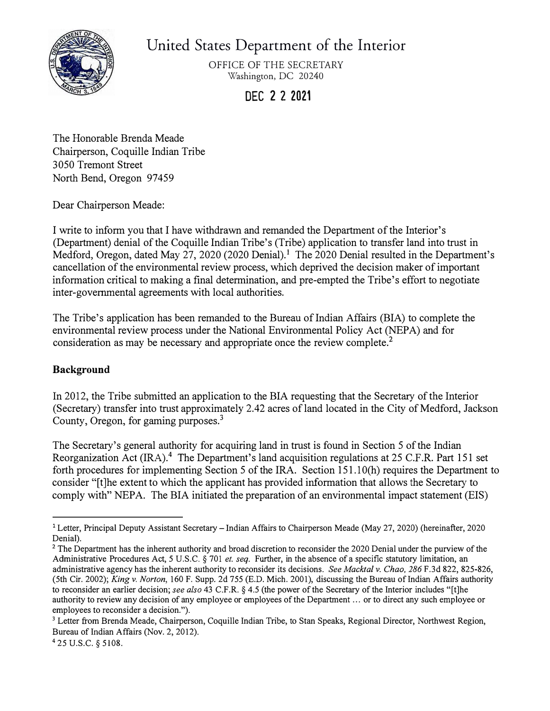

United States Department of the Interior

OFFICE OF THE SECRETARY Washington, DC 20240

**DEC 2 2 2021** 

The Honorable Brenda Meade Chairperson, Coquille Indian Tribe 3050 Tremont Street North Bend, Oregon 97459

Dear Chairperson Meade:

I write to inform you that I have withdrawn and remanded the Department of the Interior's (Department) denial of the Coquille Indian Tribe's (Tribe) application to transfer land into trust in Medford, Oregon, dated May 27, 2020 (2020 Denial).**1** The 2020 Denial resulted in the Department's cancellation of the environmental review process, which deprived the decision maker of important information critical to making a final determination, and pre-empted the Tribe's effort to negotiate inter-governmental agreements with local authorities.

The Tribe's application has been remanded to the Bureau of Indian Affairs (BIA) to complete the environmental review process under the National Environmental Policy Act (NEPA) and for consideration as may be necessary and appropriate once the review complete.<sup>2</sup>

## **Background**

In 2012, the Tribe submitted an application to the BIA requesting that the Secretary of the Interior (Secretary) transfer into trust approximately 2.42 acres of land located in the City of Medford, Jackson County, Oregon, for gaming purposes.**<sup>3</sup>**

The Secretary's general authority for acquiring land in trust is found in Section 5 of the Indian Reorganization Act (IRA).**<sup>4</sup>**The Department's land acquisition regulations at 25 C.F.R. Part 151 set forth procedures for implementing Section 5 of the IRA. Section 151.10(h) requires the Department to consider "[t]he extent to which the applicant has provided information that allows the Secretary to comply with" NEPA. The BIA initiated the preparation of an environmental impact statement (EIS)

<sup>&</sup>lt;sup>1</sup> Letter, Principal Deputy Assistant Secretary – Indian Affairs to Chairperson Meade (May 27, 2020) (hereinafter, 2020 Denial).

**<sup>2</sup>**The Department has the inherent authority and broad discretion to reconsider the 2020 Denial under the purview of the Administrative Procedures Act, 5 U.S.C. § 701 *et. seq.* Further, in the absence of a specific statutory limitation, an administrative agency has the inherent authority to reconsider its decisions. *See Macktal v. Chao, 286* F.3d 822, 825-826, (5th Cir. 2002); *King v. Norton,* 160 F. Supp. 2d 755 (E.D. Mich. 2001), discussing the Bureau of Indian Affairs authority to reconsider an earlier decision; *see also* 43 C.F.R. § 4.5 (the power of the Secretary of the Interior includes "[t]he authority to review any decision of any employee or employees of the Department ... or to direct any such employee or employees to reconsider a decision.").

**<sup>3</sup>**Letter from Brenda Meade, Chairperson, Coquille Indian Tribe, to Stan Speaks, Regional Director, Northwest Region, Bureau of Indian Affairs (Nov. 2, 2012).

<sup>4</sup> 25 U.S.C. § 5108.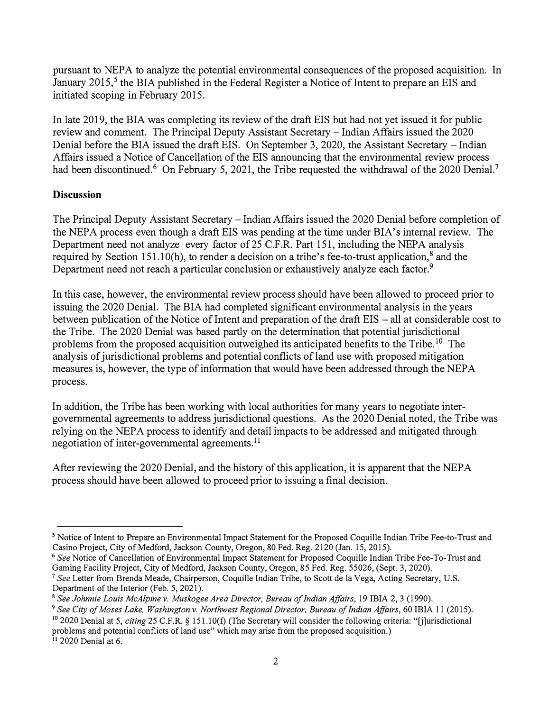pursuant to NEPA to analyze the potential environmental consequences of the proposed acquisition. In January 2015,<sup>5</sup> the BIA published in the Federal Register a Notice of Intent to prepare an EIS and initiated scoping in February 2015.

In late 2019, the BIA was completing its review of the draft EIS but had not yet issued it for public review and comment. The Principal Deputy Assistant Secretary – Indian Affairs issued the 2020 Denial before the BIA issued the draft EIS. On September 3, 2020, the Assistant Secretary – Indian Affairs issued a Notice of Cancellation of the EIS announcing that the environmental review process had been discontinued.<sup>6</sup> On February 5, 2021, the Tribe requested the withdrawal of the 2020 Denial.<sup>7</sup>

## **Discussion**

The Principal Deputy Assistant Secretary -Indian Affairs issued the 2020 Denial before completion of the NEPA process even though a draft EIS was pending at the time under BIA's internal review. The Department need not analyze every factor of 25 C.F.R. Part 151, including the NEPA analysis required by Section 151.10(h), to render a decision on a tribe's fee-to-trust application,<sup>8</sup> and the Department need not reach a particular conclusion or exhaustively analyze each factor.<sup>9</sup>

In this case, however, the environmental review process should have been allowed to proceed prior to issuing the 2020 Denial. The BIA had completed significant environmental analysis in the years between publication of the Notice of Intent and preparation of the draft EIS - all at considerable cost to the Tribe. The 2020 Denial was based partly on the determination that potential jurisdictional problems from the proposed acquisition outweighed its anticipated benefits to the Tribe.<sup>10</sup> The analysis of jurisdictional problems and potential conflicts of land use with proposed mitigation measures is, however, the type of information that would have been addressed through the NEPA process.

In addition, the Tribe has been working with local authorities for many years to negotiate intergovernmental agreements to address jurisdictional questions. As the 2020 Denial noted, the Tribe was relying on the NEPA process to identify and detail impacts to be addressed and mitigated through negotiation of inter-governmental agreements. <sup>11</sup>

After reviewing the 2020 Denial, and the history of this application, it is apparent that the NEPA process should have been allowed to proceed prior to issuing a final decision.

<sup>&</sup>lt;sup>5</sup> Notice of Intent to Prepare an Environmental Impact Statement for the Proposed Coquille Indian Tribe Fee-to-Trust and Casino Project, City of Medford, Jackson County, Oregon, 80 Fed. Reg. 2120 (Jan. 15, 2015).

**<sup>6</sup>***See* Notice of Cancellation of Environmental Impact Statement for Proposed Coquille Indian Tribe Fee-To-Trust and Gaming Facility Project, City of Medford, Jackson County, Oregon, 85 Fed. Reg. 55026, (Sept. 3, 2020).

*<sup>1</sup>See* Letter from Brenda Meade, Chairperson, Coquille Indian Tribe, to Scott de la Vega, Acting Secretary, U.S. Department of the Interior (Feb. 5, 2021).

<sup>8</sup>*See Johnnie Louis McAlpine v. Muskogee Area Director, Bureau of Indian Affairs,* 19 IBIA 2, 3 (1990).

**<sup>9</sup>***See City of Moses Lake, Washington v. Northwest Regional Director, Bureau of Indian Affairs,* 60 IBIA 11 (2015).

<sup>&</sup>lt;sup>10</sup> 2020 Denial at 5, *citing* 25 C.F.R. § 151.10(f) (The Secretary will consider the following criteria: "[j]urisdictional problems and potential conflicts of land use" which may arise from the proposed acquisition.) **<sup>11</sup>**2020 Denial at 6.